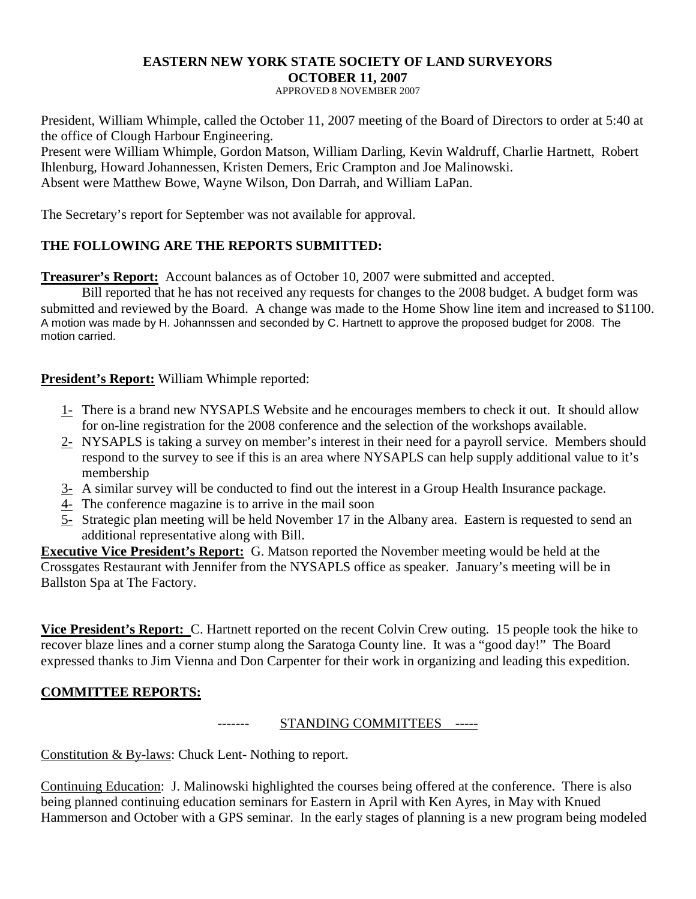### **EASTERN NEW YORK STATE SOCIETY OF LAND SURVEYORS OCTOBER 11, 2007**

APPROVED 8 NOVEMBER 2007

President, William Whimple, called the October 11, 2007 meeting of the Board of Directors to order at 5:40 at the office of Clough Harbour Engineering.

Present were William Whimple, Gordon Matson, William Darling, Kevin Waldruff, Charlie Hartnett, Robert Ihlenburg, Howard Johannessen, Kristen Demers, Eric Crampton and Joe Malinowski. Absent were Matthew Bowe, Wayne Wilson, Don Darrah, and William LaPan.

The Secretary's report for September was not available for approval.

## **THE FOLLOWING ARE THE REPORTS SUBMITTED:**

**Treasurer's Report:** Account balances as of October 10, 2007 were submitted and accepted.

Bill reported that he has not received any requests for changes to the 2008 budget. A budget form was submitted and reviewed by the Board. A change was made to the Home Show line item and increased to \$1100. A motion was made by H. Johannssen and seconded by C. Hartnett to approve the proposed budget for 2008. The motion carried.

## **President's Report:** William Whimple reported:

- 1- There is a brand new NYSAPLS Website and he encourages members to check it out. It should allow for on-line registration for the 2008 conference and the selection of the workshops available.
- 2- NYSAPLS is taking a survey on member's interest in their need for a payroll service. Members should respond to the survey to see if this is an area where NYSAPLS can help supply additional value to it's membership
- 3- A similar survey will be conducted to find out the interest in a Group Health Insurance package.
- 4- The conference magazine is to arrive in the mail soon
- 5- Strategic plan meeting will be held November 17 in the Albany area. Eastern is requested to send an additional representative along with Bill.

**Executive Vice President's Report:** G. Matson reported the November meeting would be held at the Crossgates Restaurant with Jennifer from the NYSAPLS office as speaker. January's meeting will be in Ballston Spa at The Factory.

**Vice President's Report:** C. Hartnett reported on the recent Colvin Crew outing. 15 people took the hike to recover blaze lines and a corner stump along the Saratoga County line. It was a "good day!" The Board expressed thanks to Jim Vienna and Don Carpenter for their work in organizing and leading this expedition.

# **COMMITTEE REPORTS:**

#### ------- STANDING COMMITTEES -----

Constitution & By-laws: Chuck Lent- Nothing to report.

Continuing Education: J. Malinowski highlighted the courses being offered at the conference. There is also being planned continuing education seminars for Eastern in April with Ken Ayres, in May with Knued Hammerson and October with a GPS seminar. In the early stages of planning is a new program being modeled